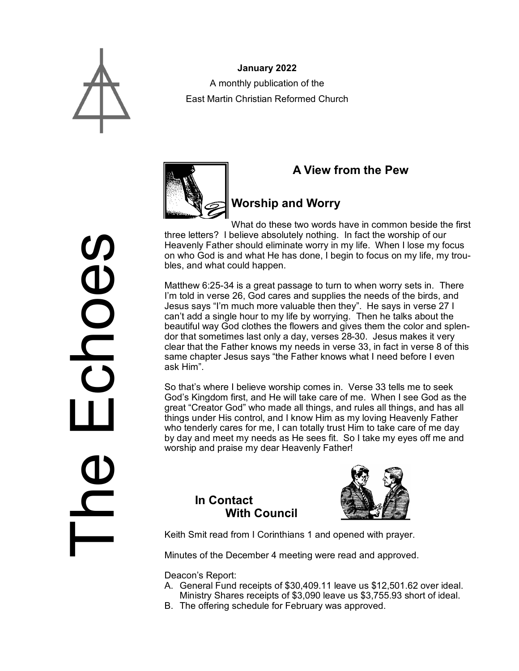

**January 2022** A monthly publication of the East Martin Christian Reformed Church



### **A View from the Pew**

# **Worship and Worry**

What do these two words have in common beside the first three letters? I believe absolutely nothing. In fact the worship of our Heavenly Father should eliminate worry in my life. When I lose my focus on who God is and what He has done, I begin to focus on my life, my troubles, and what could happen.

Matthew 6:25-34 is a great passage to turn to when worry sets in. There I'm told in verse 26, God cares and supplies the needs of the birds, and Jesus says "I'm much more valuable then they". He says in verse 27 I can't add a single hour to my life by worrying. Then he talks about the beautiful way God clothes the flowers and gives them the color and splendor that sometimes last only a day, verses 28-30. Jesus makes it very clear that the Father knows my needs in verse 33, in fact in verse 8 of this same chapter Jesus says "the Father knows what I need before I even ask Him".

So that's where I believe worship comes in. Verse 33 tells me to seek God's Kingdom first, and He will take care of me. When I see God as the great "Creator God" who made all things, and rules all things, and has all things under His control, and I know Him as my loving Heavenly Father who tenderly cares for me, I can totally trust Him to take care of me day by day and meet my needs as He sees fit. So I take my eyes off me and worship and praise my dear Heavenly Father!

#### **In Contact With Council**



Keith Smit read from I Corinthians 1 and opened with prayer.

Minutes of the December 4 meeting were read and approved.

Deacon's Report:

- A. General Fund receipts of \$30,409.11 leave us \$12,501.62 over ideal. Ministry Shares receipts of \$3,090 leave us \$3,755.93 short of ideal.
- B. The offering schedule for February was approved.

The Echoes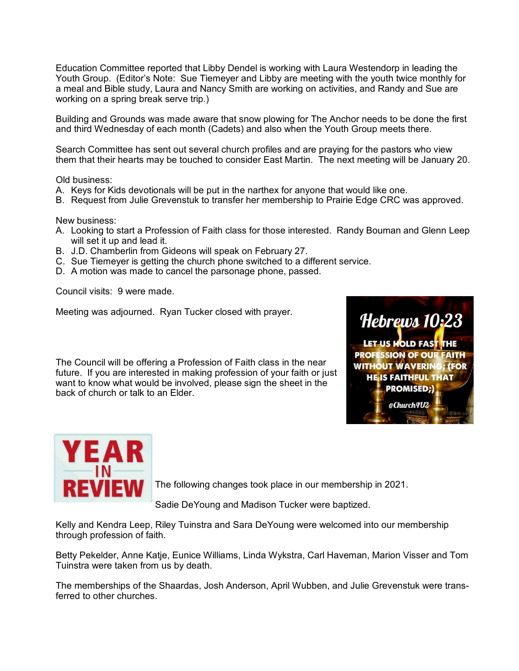Education Committee reported that Libby Dendel is working with Laura Westendorp in leading the Youth Group. (Editor's Note: Sue Tiemeyer and Libby are meeting with the youth twice monthly for a meal and Bible study, Laura and Nancy Smith are working on activities, and Randy and Sue are working on a spring break serve trip.)

Building and Grounds was made aware that snow plowing for The Anchor needs to be done the first and third Wednesday of each month (Cadets) and also when the Youth Group meets there.

Search Committee has sent out several church profiles and are praying for the pastors who view them that their hearts may be touched to consider East Martin. The next meeting will be January 20.

Old business:

- A. Keys for Kids devotionals will be put in the narthex for anyone that would like one.
- B. Request from Julie Grevenstuk to transfer her membership to Prairie Edge CRC was approved.

New business:

- A. Looking to start a Profession of Faith class for those interested. Randy Bouman and Glenn Leep will set it up and lead it.
- B. J.D. Chamberlin from Gideons will speak on February 27.
- C. Sue Tiemeyer is getting the church phone switched to a different service.
- D. A motion was made to cancel the parsonage phone, passed.

Council visits: 9 were made.

Meeting was adjourned. Ryan Tucker closed with prayer.

The Council will be offering a Profession of Faith class in the near future. If you are interested in making profession of your faith or just want to know what would be involved, please sign the sheet in the back of church or talk to an Elder.





The following changes took place in our membership in 2021.

Sadie DeYoung and Madison Tucker were baptized.

Kelly and Kendra Leep, Riley Tuinstra and Sara DeYoung were welcomed into our membership through profession of faith.

Betty Pekelder, Anne Katje, Eunice Williams, Linda Wykstra, Carl Haveman, Marion Visser and Tom Tuinstra were taken from us by death.

The memberships of the Shaardas, Josh Anderson, April Wubben, and Julie Grevenstuk were transferred to other churches.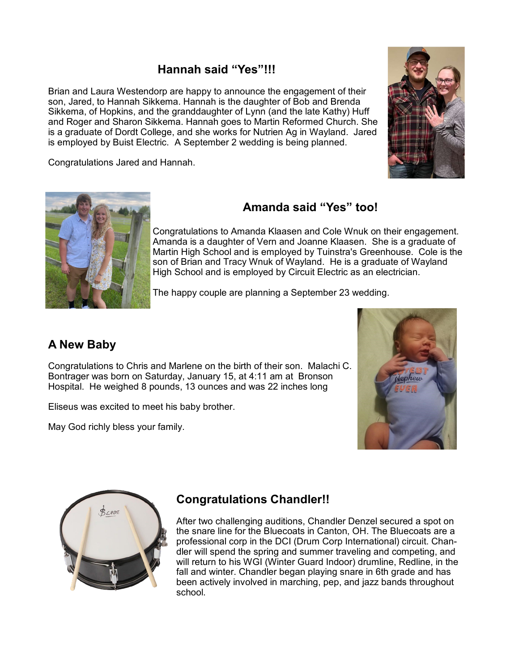### **Hannah said "Yes"!!!**

Brian and Laura Westendorp are happy to announce the engagement of their son, Jared, to Hannah Sikkema. Hannah is the daughter of Bob and Brenda Sikkema, of Hopkins, and the granddaughter of Lynn (and the late Kathy) Huff and Roger and Sharon Sikkema. Hannah goes to Martin Reformed Church. She is a graduate of Dordt College, and she works for Nutrien Ag in Wayland. Jared is employed by Buist Electric. A September 2 wedding is being planned.

Congratulations Jared and Hannah.





# **Amanda said "Yes" too!**

Congratulations to Amanda Klaasen and Cole Wnuk on their engagement. Amanda is a daughter of Vern and Joanne Klaasen. She is a graduate of Martin High School and is employed by Tuinstra's Greenhouse. Cole is the son of Brian and Tracy Wnuk of Wayland. He is a graduate of Wayland High School and is employed by Circuit Electric as an electrician.

The happy couple are planning a September 23 wedding.

### **A New Baby**

Congratulations to Chris and Marlene on the birth of their son. Malachi C. Bontrager was born on Saturday, January 15, at 4:11 am at Bronson Hospital. He weighed 8 pounds, 13 ounces and was 22 inches long

Eliseus was excited to meet his baby brother.

May God richly bless your family.





# **Congratulations Chandler!!**

After two challenging auditions, Chandler Denzel secured a spot on the snare line for the Bluecoats in Canton, OH. The Bluecoats are a professional corp in the DCI (Drum Corp International) circuit. Chandler will spend the spring and summer traveling and competing, and will return to his WGI (Winter Guard Indoor) drumline, Redline, in the fall and winter. Chandler began playing snare in 6th grade and has been actively involved in marching, pep, and jazz bands throughout school.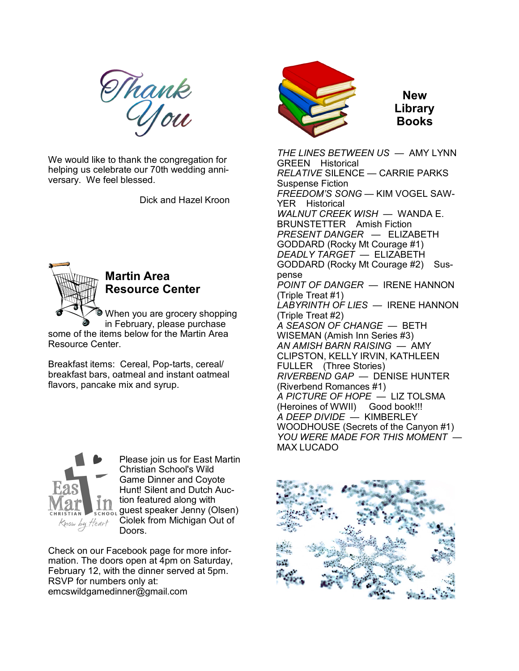Thank<br>Uou

We would like to thank the congregation for helping us celebrate our 70th wedding anniversary. We feel blessed.

Dick and Hazel Kroon



# **Martin Area Resource Center**

When you are grocery shopping in February, please purchase

some of the items below for the Martin Area Resource Center.

Breakfast items: Cereal, Pop-tarts, cereal/ breakfast bars, oatmeal and instant oatmeal flavors, pancake mix and syrup.



Please join us for East Martin Christian School's Wild Game Dinner and Coyote Hunt! Silent and Dutch Auction featured along with **ALL** guest speaker Jenny (Olsen) Ciolek from Michigan Out of Doors.

Check on our Facebook page for more information. The doors open at 4pm on Saturday, February 12, with the dinner served at 5pm. RSVP for numbers only at: emcswildgamedinner@gmail.com



**New Library Books**

*THE LINES BETWEEN US* — AMY LYNN GREEN Historical *RELATIVE* SILENCE — CARRIE PARKS Suspense Fiction *FREEDOM'S SONG* — KIM VOGEL SAW-YER Historical *WALNUT CREEK WISH* — WANDA E. BRUNSTETTER Amish Fiction *PRESENT DANGER* — ELIZABETH GODDARD (Rocky Mt Courage #1) *DEADLY TARGET* — ELIZABETH GODDARD (Rocky Mt Courage #2) Suspense *POINT OF DANGER* — IRENE HANNON (Triple Treat #1) *LABYRINTH OF LIES* — IRENE HANNON (Triple Treat #2) *A SEASON OF CHANGE* — BETH WISEMAN (Amish Inn Series #3) *AN AMISH BARN RAISING* — AMY CLIPSTON, KELLY IRVIN, KATHLEEN FULLER (Three Stories) *RIVERBEND GAP* — DENISE HUNTER (Riverbend Romances #1) *A PICTURE OF HOPE* — LIZ TOLSMA (Heroines of WWII) Good book!!! *A DEEP DIVIDE* — KIMBERLEY WOODHOUSE (Secrets of the Canyon #1) *YOU WERE MADE FOR THIS MOMENT* — MAX LUCADO